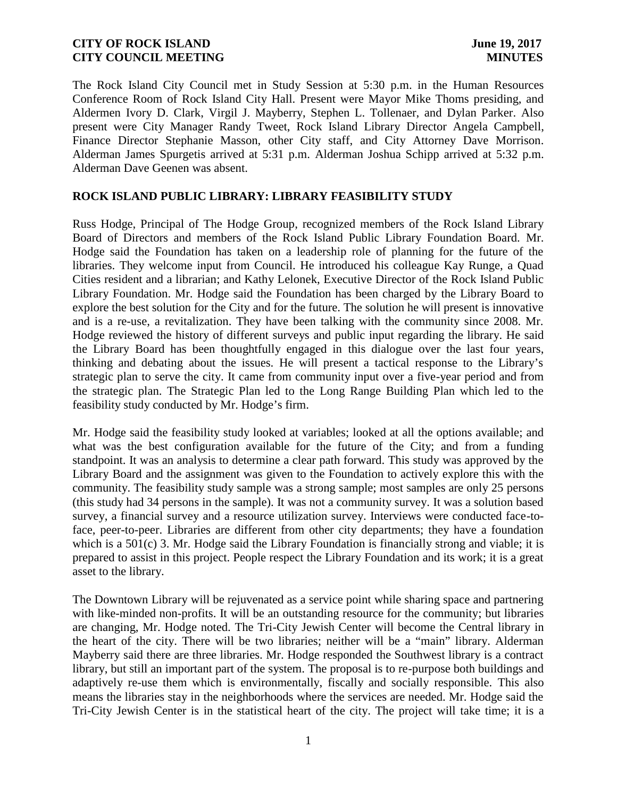The Rock Island City Council met in Study Session at 5:30 p.m. in the Human Resources Conference Room of Rock Island City Hall. Present were Mayor Mike Thoms presiding, and Aldermen Ivory D. Clark, Virgil J. Mayberry, Stephen L. Tollenaer, and Dylan Parker. Also present were City Manager Randy Tweet, Rock Island Library Director Angela Campbell, Finance Director Stephanie Masson, other City staff, and City Attorney Dave Morrison. Alderman James Spurgetis arrived at 5:31 p.m. Alderman Joshua Schipp arrived at 5:32 p.m. Alderman Dave Geenen was absent.

### **ROCK ISLAND PUBLIC LIBRARY: LIBRARY FEASIBILITY STUDY**

Russ Hodge, Principal of The Hodge Group, recognized members of the Rock Island Library Board of Directors and members of the Rock Island Public Library Foundation Board. Mr. Hodge said the Foundation has taken on a leadership role of planning for the future of the libraries. They welcome input from Council. He introduced his colleague Kay Runge, a Quad Cities resident and a librarian; and Kathy Lelonek, Executive Director of the Rock Island Public Library Foundation. Mr. Hodge said the Foundation has been charged by the Library Board to explore the best solution for the City and for the future. The solution he will present is innovative and is a re-use, a revitalization. They have been talking with the community since 2008. Mr. Hodge reviewed the history of different surveys and public input regarding the library. He said the Library Board has been thoughtfully engaged in this dialogue over the last four years, thinking and debating about the issues. He will present a tactical response to the Library's strategic plan to serve the city. It came from community input over a five-year period and from the strategic plan. The Strategic Plan led to the Long Range Building Plan which led to the feasibility study conducted by Mr. Hodge's firm.

Mr. Hodge said the feasibility study looked at variables; looked at all the options available; and what was the best configuration available for the future of the City; and from a funding standpoint. It was an analysis to determine a clear path forward. This study was approved by the Library Board and the assignment was given to the Foundation to actively explore this with the community. The feasibility study sample was a strong sample; most samples are only 25 persons (this study had 34 persons in the sample). It was not a community survey. It was a solution based survey, a financial survey and a resource utilization survey. Interviews were conducted face-toface, peer-to-peer. Libraries are different from other city departments; they have a foundation which is a 501(c) 3. Mr. Hodge said the Library Foundation is financially strong and viable; it is prepared to assist in this project. People respect the Library Foundation and its work; it is a great asset to the library.

The Downtown Library will be rejuvenated as a service point while sharing space and partnering with like-minded non-profits. It will be an outstanding resource for the community; but libraries are changing, Mr. Hodge noted. The Tri-City Jewish Center will become the Central library in the heart of the city. There will be two libraries; neither will be a "main" library. Alderman Mayberry said there are three libraries. Mr. Hodge responded the Southwest library is a contract library, but still an important part of the system. The proposal is to re-purpose both buildings and adaptively re-use them which is environmentally, fiscally and socially responsible. This also means the libraries stay in the neighborhoods where the services are needed. Mr. Hodge said the Tri-City Jewish Center is in the statistical heart of the city. The project will take time; it is a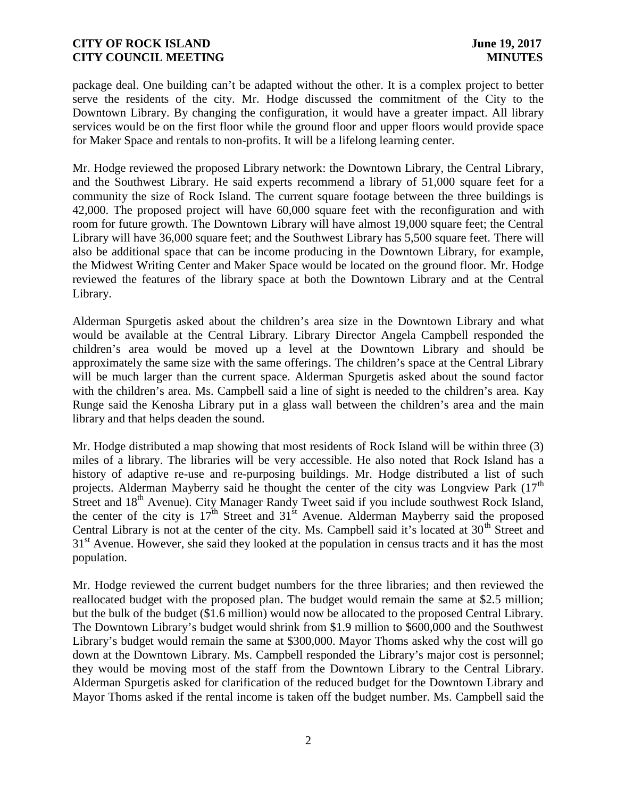package deal. One building can't be adapted without the other. It is a complex project to better serve the residents of the city. Mr. Hodge discussed the commitment of the City to the Downtown Library. By changing the configuration, it would have a greater impact. All library services would be on the first floor while the ground floor and upper floors would provide space for Maker Space and rentals to non-profits. It will be a lifelong learning center.

Mr. Hodge reviewed the proposed Library network: the Downtown Library, the Central Library, and the Southwest Library. He said experts recommend a library of 51,000 square feet for a community the size of Rock Island. The current square footage between the three buildings is 42,000. The proposed project will have 60,000 square feet with the reconfiguration and with room for future growth. The Downtown Library will have almost 19,000 square feet; the Central Library will have 36,000 square feet; and the Southwest Library has 5,500 square feet. There will also be additional space that can be income producing in the Downtown Library, for example, the Midwest Writing Center and Maker Space would be located on the ground floor. Mr. Hodge reviewed the features of the library space at both the Downtown Library and at the Central Library.

Alderman Spurgetis asked about the children's area size in the Downtown Library and what would be available at the Central Library. Library Director Angela Campbell responded the children's area would be moved up a level at the Downtown Library and should be approximately the same size with the same offerings. The children's space at the Central Library will be much larger than the current space. Alderman Spurgetis asked about the sound factor with the children's area. Ms. Campbell said a line of sight is needed to the children's area. Kay Runge said the Kenosha Library put in a glass wall between the children's area and the main library and that helps deaden the sound.

Mr. Hodge distributed a map showing that most residents of Rock Island will be within three (3) miles of a library. The libraries will be very accessible. He also noted that Rock Island has a history of adaptive re-use and re-purposing buildings. Mr. Hodge distributed a list of such projects. Alderman Mayberry said he thought the center of the city was Longview Park  $(17<sup>th</sup>)$ Street and 18<sup>th</sup> Avenue). City Manager Randy Tweet said if you include southwest Rock Island, the center of the city is  $17<sup>th</sup>$  Street and  $31<sup>st</sup>$  Avenue. Alderman Mayberry said the proposed Central Library is not at the center of the city. Ms. Campbell said it's located at  $30<sup>th</sup>$  Street and 31<sup>st</sup> Avenue. However, she said they looked at the population in census tracts and it has the most population.

Mr. Hodge reviewed the current budget numbers for the three libraries; and then reviewed the reallocated budget with the proposed plan. The budget would remain the same at \$2.5 million; but the bulk of the budget (\$1.6 million) would now be allocated to the proposed Central Library. The Downtown Library's budget would shrink from \$1.9 million to \$600,000 and the Southwest Library's budget would remain the same at \$300,000. Mayor Thoms asked why the cost will go down at the Downtown Library. Ms. Campbell responded the Library's major cost is personnel; they would be moving most of the staff from the Downtown Library to the Central Library. Alderman Spurgetis asked for clarification of the reduced budget for the Downtown Library and Mayor Thoms asked if the rental income is taken off the budget number. Ms. Campbell said the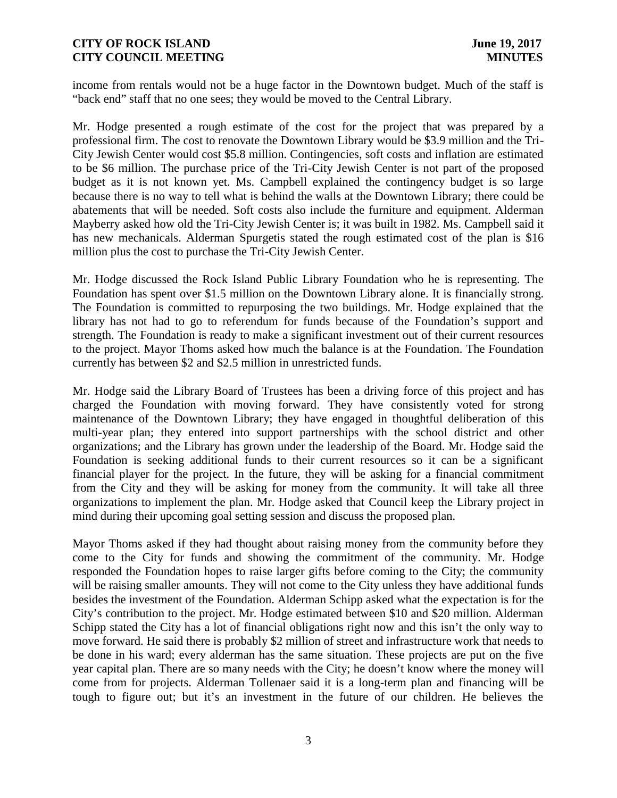income from rentals would not be a huge factor in the Downtown budget. Much of the staff is "back end" staff that no one sees; they would be moved to the Central Library.

Mr. Hodge presented a rough estimate of the cost for the project that was prepared by a professional firm. The cost to renovate the Downtown Library would be \$3.9 million and the Tri- City Jewish Center would cost \$5.8 million. Contingencies, soft costs and inflation are estimated to be \$6 million. The purchase price of the Tri-City Jewish Center is not part of the proposed budget as it is not known yet. Ms. Campbell explained the contingency budget is so large because there is no way to tell what is behind the walls at the Downtown Library; there could be abatements that will be needed. Soft costs also include the furniture and equipment. Alderman Mayberry asked how old the Tri-City Jewish Center is; it was built in 1982. Ms. Campbell said it has new mechanicals. Alderman Spurgetis stated the rough estimated cost of the plan is \$16 million plus the cost to purchase the Tri-City Jewish Center.

Mr. Hodge discussed the Rock Island Public Library Foundation who he is representing. The Foundation has spent over \$1.5 million on the Downtown Library alone. It is financially strong. The Foundation is committed to repurposing the two buildings. Mr. Hodge explained that the library has not had to go to referendum for funds because of the Foundation's support and strength. The Foundation is ready to make a significant investment out of their current resources to the project. Mayor Thoms asked how much the balance is at the Foundation. The Foundation currently has between \$2 and \$2.5 million in unrestricted funds.

Mr. Hodge said the Library Board of Trustees has been a driving force of this project and has charged the Foundation with moving forward. They have consistently voted for strong maintenance of the Downtown Library; they have engaged in thoughtful deliberation of this multi-year plan; they entered into support partnerships with the school district and other organizations; and the Library has grown under the leadership of the Board. Mr. Hodge said the Foundation is seeking additional funds to their current resources so it can be a significant financial player for the project. In the future, they will be asking for a financial commitment from the City and they will be asking for money from the community. It will take all three organizations to implement the plan. Mr. Hodge asked that Council keep the Library project in mind during their upcoming goal setting session and discuss the proposed plan.

Mayor Thoms asked if they had thought about raising money from the community before they come to the City for funds and showing the commitment of the community. Mr. Hodge responded the Foundation hopes to raise larger gifts before coming to the City; the community will be raising smaller amounts. They will not come to the City unless they have additional funds besides the investment of the Foundation. Alderman Schipp asked what the expectation is for the City's contribution to the project. Mr. Hodge estimated between \$10 and \$20 million. Alderman Schipp stated the City has a lot of financial obligations right now and this isn't the only way to move forward. He said there is probably \$2 million of street and infrastructure work that needs to be done in his ward; every alderman has the same situation. These projects are put on the five year capital plan. There are so many needs with the City; he doesn't know where the money will come from for projects. Alderman Tollenaer said it is a long-term plan and financing will be tough to figure out; but it's an investment in the future of our children. He believes the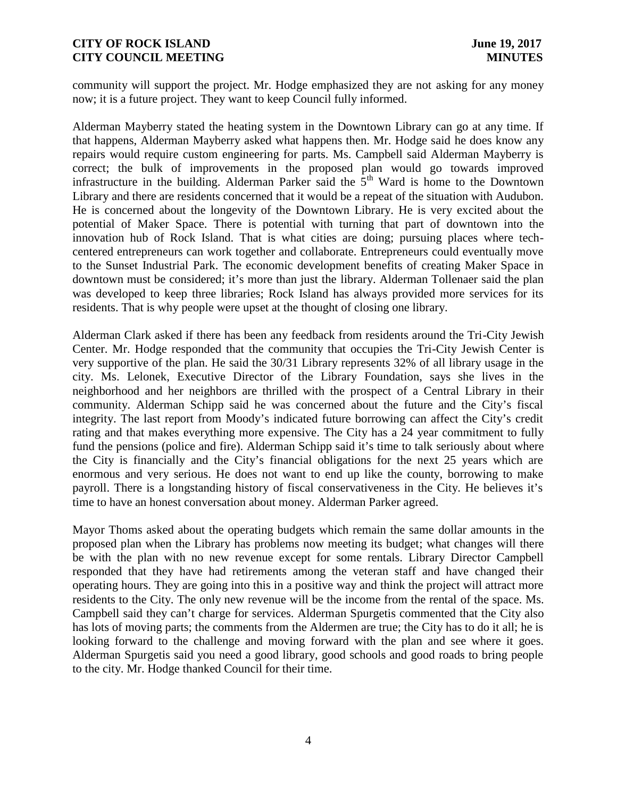community will support the project. Mr. Hodge emphasized they are not asking for any money now; it is a future project. They want to keep Council fully informed.

Alderman Mayberry stated the heating system in the Downtown Library can go at any time. If that happens, Alderman Mayberry asked what happens then. Mr. Hodge said he does know any repairs would require custom engineering for parts. Ms. Campbell said Alderman Mayberry is correct; the bulk of improvements in the proposed plan would go towards improved infrastructure in the building. Alderman Parker said the  $5<sup>th</sup>$  Ward is home to the Downtown Library and there are residents concerned that it would be a repeat of the situation with Audubon. He is concerned about the longevity of the Downtown Library. He is very excited about the potential of Maker Space. There is potential with turning that part of downtown into the innovation hub of Rock Island. That is what cities are doing; pursuing places where tech centered entrepreneurs can work together and collaborate. Entrepreneurs could eventually move to the Sunset Industrial Park. The economic development benefits of creating Maker Space in downtown must be considered; it's more than just the library. Alderman Tollenaer said the plan was developed to keep three libraries; Rock Island has always provided more services for its residents. That is why people were upset at the thought of closing one library.

Alderman Clark asked if there has been any feedback from residents around the Tri-City Jewish Center. Mr. Hodge responded that the community that occupies the Tri-City Jewish Center is very supportive of the plan. He said the 30/31 Library represents 32% of all library usage in the city. Ms. Lelonek, Executive Director of the Library Foundation, says she lives in the neighborhood and her neighbors are thrilled with the prospect of a Central Library in their community. Alderman Schipp said he was concerned about the future and the City's fiscal integrity. The last report from Moody's indicated future borrowing can affect the City's credit rating and that makes everything more expensive. The City has a 24 year commitment to fully fund the pensions (police and fire). Alderman Schipp said it's time to talk seriously about where the City is financially and the City's financial obligations for the next 25 years which are enormous and very serious. He does not want to end up like the county, borrowing to make payroll. There is a longstanding history of fiscal conservativeness in the City. He believes it's time to have an honest conversation about money. Alderman Parker agreed.

Mayor Thoms asked about the operating budgets which remain the same dollar amounts in the proposed plan when the Library has problems now meeting its budget; what changes will there be with the plan with no new revenue except for some rentals. Library Director Campbell responded that they have had retirements among the veteran staff and have changed their operating hours. They are going into this in a positive way and think the project will attract more residents to the City. The only new revenue will be the income from the rental of the space. Ms. Campbell said they can't charge for services. Alderman Spurgetis commented that the City also has lots of moving parts; the comments from the Aldermen are true; the City has to do it all; he is looking forward to the challenge and moving forward with the plan and see where it goes. Alderman Spurgetis said you need a good library, good schools and good roads to bring people to the city. Mr. Hodge thanked Council for their time.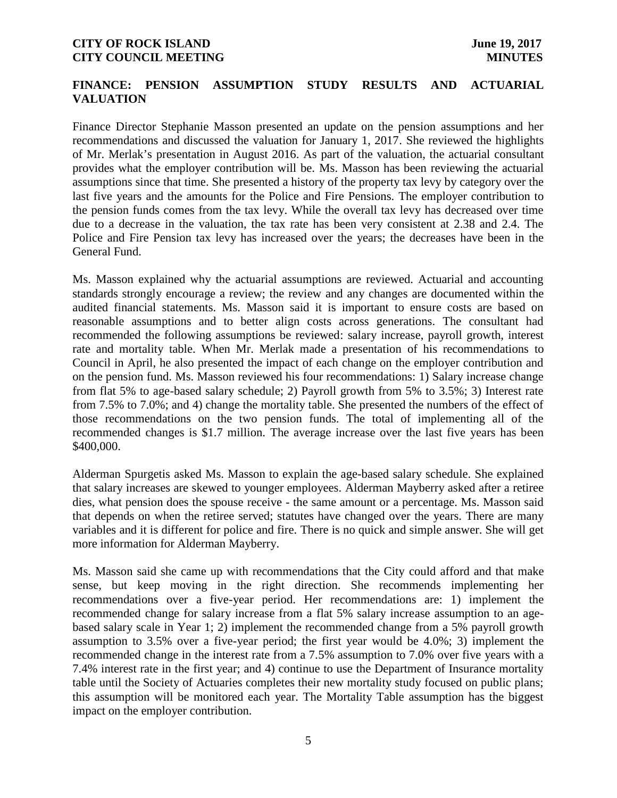## **FINANCE: PENSION ASSUMPTION STUDY RESULTS AND ACTUARIAL VALUATION**

Finance Director Stephanie Masson presented an update on the pension assumptions and her recommendations and discussed the valuation for January 1, 2017. She reviewed the highlights of Mr. Merlak's presentation in August 2016. As part of the valuation, the actuarial consultant provides what the employer contribution will be. Ms. Masson has been reviewing the actuarial assumptions since that time. She presented a history of the property tax levy by category over the last five years and the amounts for the Police and Fire Pensions. The employer contribution to the pension funds comes from the tax levy. While the overall tax levy has decreased over time due to a decrease in the valuation, the tax rate has been very consistent at 2.38 and 2.4. The Police and Fire Pension tax levy has increased over the years; the decreases have been in the General Fund.

Ms. Masson explained why the actuarial assumptions are reviewed. Actuarial and accounting standards strongly encourage a review; the review and any changes are documented within the audited financial statements. Ms. Masson said it is important to ensure costs are based on reasonable assumptions and to better align costs across generations. The consultant had recommended the following assumptions be reviewed: salary increase, payroll growth, interest rate and mortality table. When Mr. Merlak made a presentation of his recommendations to Council in April, he also presented the impact of each change on the employer contribution and on the pension fund. Ms. Masson reviewed his four recommendations: 1) Salary increase change from flat 5% to age-based salary schedule; 2) Payroll growth from 5% to 3.5%; 3) Interest rate from 7.5% to 7.0%; and 4) change the mortality table. She presented the numbers of the effect of those recommendations on the two pension funds. The total of implementing all of the recommended changes is \$1.7 million. The average increase over the last five years has been \$400,000.

Alderman Spurgetis asked Ms. Masson to explain the age-based salary schedule. She explained that salary increases are skewed to younger employees. Alderman Mayberry asked after a retiree dies, what pension does the spouse receive - the same amount or a percentage. Ms. Masson said that depends on when the retiree served; statutes have changed over the years. There are many variables and it is different for police and fire. There is no quick and simple answer. She will get more information for Alderman Mayberry.

Ms. Masson said she came up with recommendations that the City could afford and that make sense, but keep moving in the right direction. She recommends implementing her recommendations over a five-year period. Her recommendations are: 1) implement the recommended change for salary increase from a flat 5% salary increase assumption to an age based salary scale in Year 1; 2) implement the recommended change from a 5% payroll growth assumption to 3.5% over a five-year period; the first year would be 4.0%; 3) implement the recommended change in the interest rate from a 7.5% assumption to 7.0% over five years with a 7.4% interest rate in the first year; and 4) continue to use the Department of Insurance mortality table until the Society of Actuaries completes their new mortality study focused on public plans; this assumption will be monitored each year. The Mortality Table assumption has the biggest impact on the employer contribution.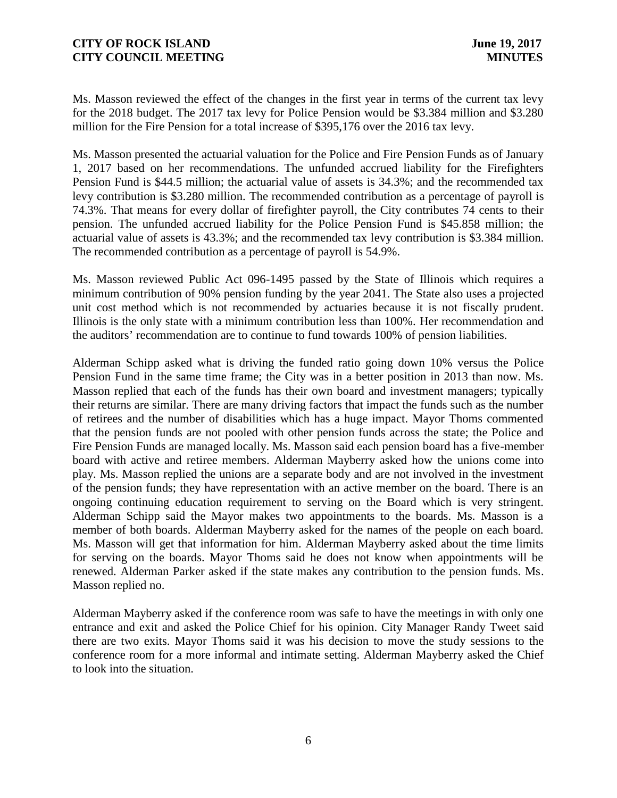Ms. Masson reviewed the effect of the changes in the first year in terms of the current tax levy for the 2018 budget. The 2017 tax levy for Police Pension would be \$3.384 million and \$3.280 million for the Fire Pension for a total increase of \$395,176 over the 2016 tax levy.

Ms. Masson presented the actuarial valuation for the Police and Fire Pension Funds as of January 1, 2017 based on her recommendations. The unfunded accrued liability for the Firefighters Pension Fund is \$44.5 million; the actuarial value of assets is 34.3%; and the recommended tax levy contribution is \$3.280 million. The recommended contribution as a percentage of payroll is 74.3%. That means for every dollar of firefighter payroll, the City contributes 74 cents to their pension. The unfunded accrued liability for the Police Pension Fund is \$45.858 million; the actuarial value of assets is 43.3%; and the recommended tax levy contribution is \$3.384 million. The recommended contribution as a percentage of payroll is 54.9%.

Ms. Masson reviewed Public Act 096-1495 passed by the State of Illinois which requires a minimum contribution of 90% pension funding by the year 2041. The State also uses a projected unit cost method which is not recommended by actuaries because it is not fiscally prudent. Illinois is the only state with a minimum contribution less than 100%. Her recommendation and the auditors' recommendation are to continue to fund towards 100% of pension liabilities.

Alderman Schipp asked what is driving the funded ratio going down 10% versus the Police Pension Fund in the same time frame; the City was in a better position in 2013 than now. Ms. Masson replied that each of the funds has their own board and investment managers; typically their returns are similar. There are many driving factors that impact the funds such as the number of retirees and the number of disabilities which has a huge impact. Mayor Thoms commented that the pension funds are not pooled with other pension funds across the state; the Police and Fire Pension Funds are managed locally. Ms. Masson said each pension board has a five-member board with active and retiree members. Alderman Mayberry asked how the unions come into play. Ms. Masson replied the unions are a separate body and are not involved in the investment of the pension funds; they have representation with an active member on the board. There is an ongoing continuing education requirement to serving on the Board which is very stringent. Alderman Schipp said the Mayor makes two appointments to the boards. Ms. Masson is a member of both boards. Alderman Mayberry asked for the names of the people on each board. Ms. Masson will get that information for him. Alderman Mayberry asked about the time limits for serving on the boards. Mayor Thoms said he does not know when appointments will be renewed. Alderman Parker asked if the state makes any contribution to the pension funds. Ms. Masson replied no.

Alderman Mayberry asked if the conference room was safe to have the meetings in with only one entrance and exit and asked the Police Chief for his opinion. City Manager Randy Tweet said there are two exits. Mayor Thoms said it was his decision to move the study sessions to the conference room for a more informal and intimate setting. Alderman Mayberry asked the Chief to look into the situation.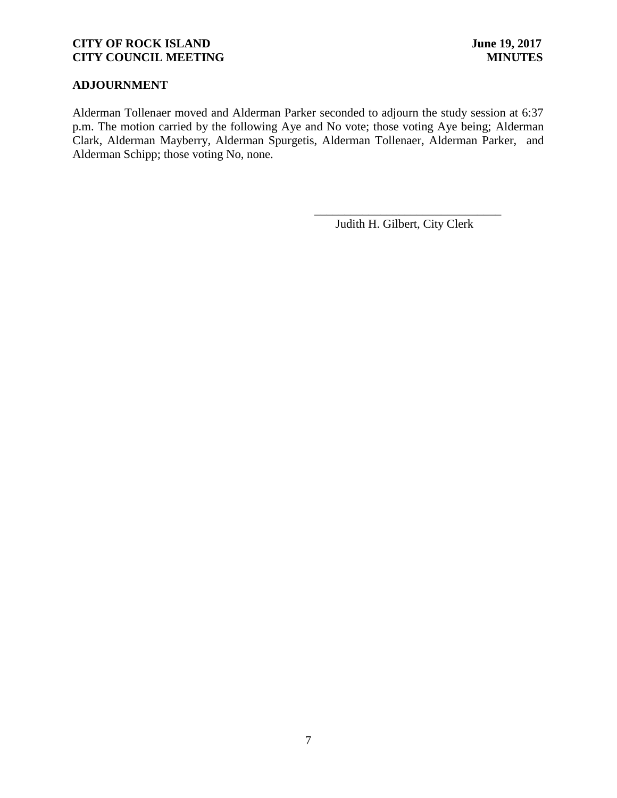## **ADJOURNMENT**

Alderman Tollenaer moved and Alderman Parker seconded to adjourn the study session at 6:37 p.m. The motion carried by the following Aye and No vote; those voting Aye being; Alderman Clark, Alderman Mayberry, Alderman Spurgetis, Alderman Tollenaer, Alderman Parker, and Alderman Schipp; those voting No, none.

Judith H. Gilbert, City Clerk

\_\_\_\_\_\_\_\_\_\_\_\_\_\_\_\_\_\_\_\_\_\_\_\_\_\_\_\_\_\_\_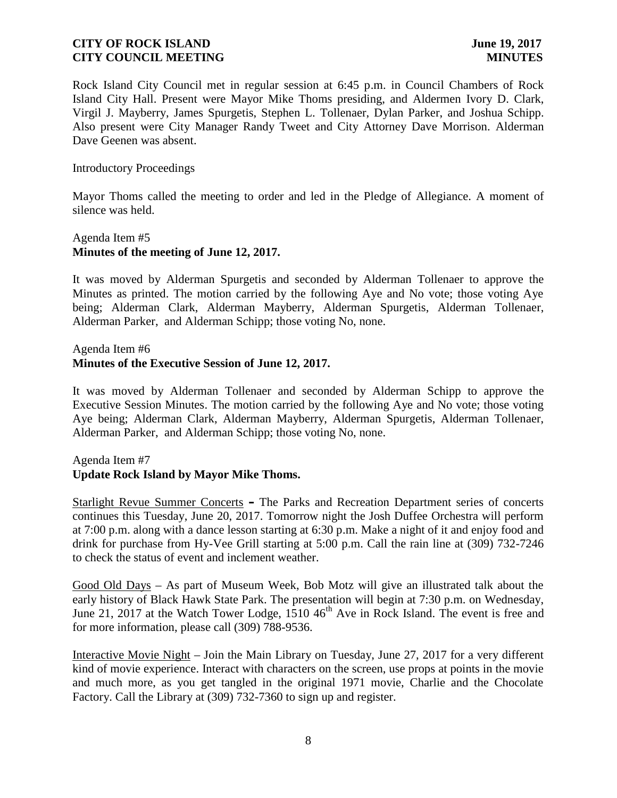Rock Island City Council met in regular session at 6:45 p.m. in Council Chambers of Rock Island City Hall. Present were Mayor Mike Thoms presiding, and Aldermen Ivory D. Clark, Virgil J. Mayberry, James Spurgetis, Stephen L. Tollenaer, Dylan Parker, and Joshua Schipp. Also present were City Manager Randy Tweet and City Attorney Dave Morrison. Alderman Dave Geenen was absent.

#### Introductory Proceedings

Mayor Thoms called the meeting to order and led in the Pledge of Allegiance. A moment of silence was held.

## Agenda Item #5 **Minutes of the meeting of June 12, 2017.**

It was moved by Alderman Spurgetis and seconded by Alderman Tollenaer to approve the Minutes as printed. The motion carried by the following Aye and No vote; those voting Aye being; Alderman Clark, Alderman Mayberry, Alderman Spurgetis, Alderman Tollenaer, Alderman Parker, and Alderman Schipp; those voting No, none.

Agenda Item #6

### **Minutes of the Executive Session of June 12, 2017.**

It was moved by Alderman Tollenaer and seconded by Alderman Schipp to approve the Executive Session Minutes. The motion carried by the following Aye and No vote; those voting Aye being; Alderman Clark, Alderman Mayberry, Alderman Spurgetis, Alderman Tollenaer, Alderman Parker, and Alderman Schipp; those voting No, none.

## Agenda Item #7 **Update Rock Island by Mayor Mike Thoms.**

Starlight Revue Summer Concerts **–** The Parks and Recreation Department series of concerts continues this Tuesday, June 20, 2017. Tomorrow night the Josh Duffee Orchestra will perform at 7:00 p.m. along with a dance lesson starting at 6:30 p.m. Make a night of it and enjoy food and drink for purchase from Hy-Vee Grill starting at 5:00 p.m. Call the rain line at (309) 732-7246 to check the status of event and inclement weather.

Good Old Days – As part of Museum Week, Bob Motz will give an illustrated talk about the early history of Black Hawk State Park. The presentation will begin at 7:30 p.m. on Wednesday, June 21, 2017 at the Watch Tower Lodge,  $1510 \, 46^{th}$  Ave in Rock Island. The event is free and for more information, please call (309) 788-9536.

Interactive Movie Night – Join the Main Library on Tuesday, June 27, 2017 for a very different kind of movie experience. Interact with characters on the screen, use props at points in the movie and much more, as you get tangled in the original 1971 movie, Charlie and the Chocolate Factory. Call the Library at (309) 732-7360 to sign up and register.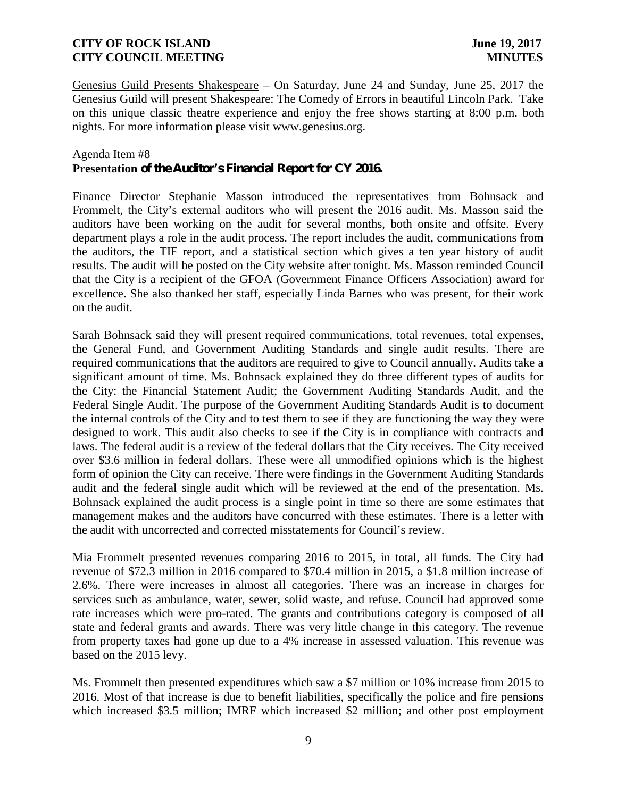Genesius Guild Presents Shakespeare – On Saturday, June 24 and Sunday, June 25, 2017 the Genesius Guild will present Shakespeare: The Comedy of Errors in beautiful Lincoln Park. Take on this unique classic theatre experience and enjoy the free shows starting at 8:00 p.m. both nights. For more information please visit www.genesius.org.

#### Agenda Item #8

## **Presentation of the Auditor's Financial Report for CY 2016.**

Finance Director Stephanie Masson introduced the representatives from Bohnsack and Frommelt, the City's external auditors who will present the 2016 audit. Ms. Masson said the auditors have been working on the audit for several months, both onsite and offsite. Every department plays a role in the audit process. The report includes the audit, communications from the auditors, the TIF report, and a statistical section which gives a ten year history of audit results. The audit will be posted on the City website after tonight. Ms. Masson reminded Council that the City is a recipient of the GFOA (Government Finance Officers Association) award for excellence. She also thanked her staff, especially Linda Barnes who was present, for their work on the audit.

Sarah Bohnsack said they will present required communications, total revenues, total expenses, the General Fund, and Government Auditing Standards and single audit results. There are required communications that the auditors are required to give to Council annually. Audits take a significant amount of time. Ms. Bohnsack explained they do three different types of audits for the City: the Financial Statement Audit; the Government Auditing Standards Audit, and the Federal Single Audit. The purpose of the Government Auditing Standards Audit is to document the internal controls of the City and to test them to see if they are functioning the way they were designed to work. This audit also checks to see if the City is in compliance with contracts and laws. The federal audit is a review of the federal dollars that the City receives. The City received over \$3.6 million in federal dollars. These were all unmodified opinions which is the highest form of opinion the City can receive. There were findings in the Government Auditing Standards audit and the federal single audit which will be reviewed at the end of the presentation. Ms. Bohnsack explained the audit process is a single point in time so there are some estimates that management makes and the auditors have concurred with these estimates. There is a letter with the audit with uncorrected and corrected misstatements for Council's review.

Mia Frommelt presented revenues comparing 2016 to 2015, in total, all funds. The City had revenue of \$72.3 million in 2016 compared to \$70.4 million in 2015, a \$1.8 million increase of 2.6%. There were increases in almost all categories. There was an increase in charges for services such as ambulance, water, sewer, solid waste, and refuse. Council had approved some rate increases which were pro-rated. The grants and contributions category is composed of all state and federal grants and awards. There was very little change in this category. The revenue from property taxes had gone up due to a 4% increase in assessed valuation. This revenue was based on the 2015 levy.

Ms. Frommelt then presented expenditures which saw a \$7 million or 10% increase from 2015 to 2016. Most of that increase is due to benefit liabilities, specifically the police and fire pensions which increased \$3.5 million; IMRF which increased \$2 million; and other post employment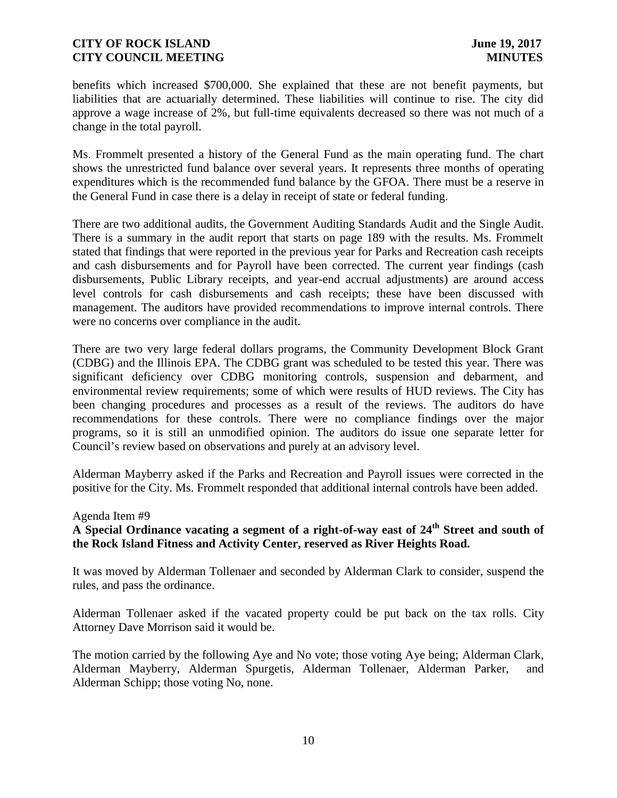benefits which increased \$700,000. She explained that these are not benefit payments, but liabilities that are actuarially determined. These liabilities will continue to rise. The city did approve a wage increase of 2%, but full-time equivalents decreased so there was not much of a change in the total payroll.

Ms. Frommelt presented a history of the General Fund as the main operating fund. The chart shows the unrestricted fund balance over several years. It represents three months of operating expenditures which is the recommended fund balance by the GFOA. There must be a reserve in the General Fund in case there is a delay in receipt of state or federal funding.

There are two additional audits, the Government Auditing Standards Audit and the Single Audit. There is a summary in the audit report that starts on page 189 with the results. Ms. Frommelt stated that findings that were reported in the previous year for Parks and Recreation cash receipts and cash disbursements and for Payroll have been corrected. The current year findings (cash disbursements, Public Library receipts, and year-end accrual adjustments) are around access level controls for cash disbursements and cash receipts; these have been discussed with management. The auditors have provided recommendations to improve internal controls. There were no concerns over compliance in the audit.

There are two very large federal dollars programs, the Community Development Block Grant (CDBG) and the Illinois EPA. The CDBG grant was scheduled to be tested this year. There was significant deficiency over CDBG monitoring controls, suspension and debarment, and environmental review requirements; some of which were results of HUD reviews. The City has been changing procedures and processes as a result of the reviews. The auditors do have recommendations for these controls. There were no compliance findings over the major programs, so it is still an unmodified opinion. The auditors do issue one separate letter for Council's review based on observations and purely at an advisory level.

Alderman Mayberry asked if the Parks and Recreation and Payroll issues were corrected in the positive for the City. Ms. Frommelt responded that additional internal controls have been added.

### Agenda Item #9

# **A Special Ordinance vacating a segment of a right-of-way east of 24th Street and south of the Rock Island Fitness and Activity Center, reserved as River Heights Road.**

It was moved by Alderman Tollenaer and seconded by Alderman Clark to consider, suspend the rules, and pass the ordinance.

Alderman Tollenaer asked if the vacated property could be put back on the tax rolls. City Attorney Dave Morrison said it would be.

The motion carried by the following Aye and No vote; those voting Aye being; Alderman Clark, Alderman Mayberry, Alderman Spurgetis, Alderman Tollenaer, Alderman Parker, and Alderman Schipp; those voting No, none.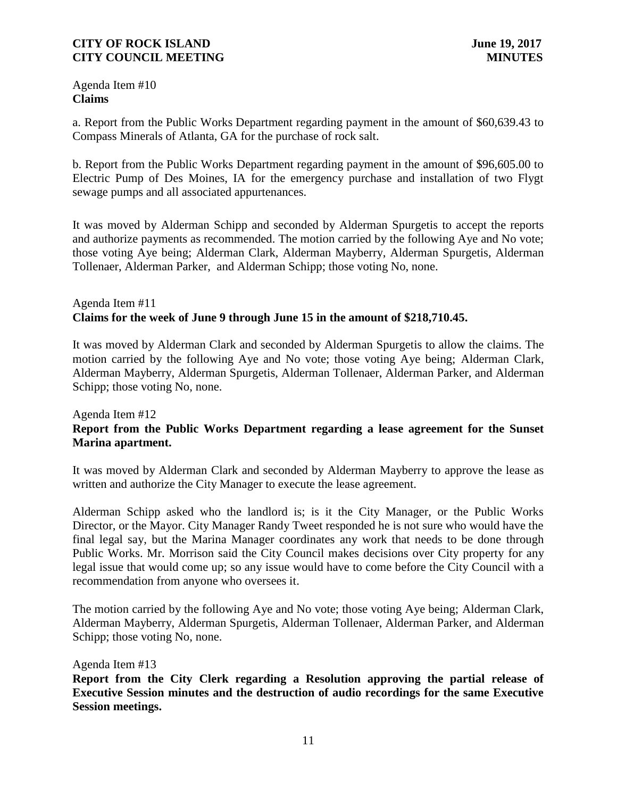Agenda Item #10 **Claims**

a. Report from the Public Works Department regarding payment in the amount of \$60,639.43 to Compass Minerals of Atlanta, GA for the purchase of rock salt.

b. Report from the Public Works Department regarding payment in the amount of \$96,605.00 to Electric Pump of Des Moines, IA for the emergency purchase and installation of two Flygt sewage pumps and all associated appurtenances.

It was moved by Alderman Schipp and seconded by Alderman Spurgetis to accept the reports and authorize payments as recommended. The motion carried by the following Aye and No vote; those voting Aye being; Alderman Clark, Alderman Mayberry, Alderman Spurgetis, Alderman Tollenaer, Alderman Parker, and Alderman Schipp; those voting No, none.

#### Agenda Item #11 **Claims for the week of June 9 through June 15 in the amount of \$218,710.45.**

It was moved by Alderman Clark and seconded by Alderman Spurgetis to allow the claims. The motion carried by the following Aye and No vote; those voting Aye being; Alderman Clark, Alderman Mayberry, Alderman Spurgetis, Alderman Tollenaer, Alderman Parker, and Alderman Schipp; those voting No, none.

## Agenda Item #12 **Report from the Public Works Department regarding a lease agreement for the Sunset Marina apartment.**

It was moved by Alderman Clark and seconded by Alderman Mayberry to approve the lease as written and authorize the City Manager to execute the lease agreement.

Alderman Schipp asked who the landlord is; is it the City Manager, or the Public Works Director, or the Mayor. City Manager Randy Tweet responded he is not sure who would have the final legal say, but the Marina Manager coordinates any work that needs to be done through Public Works. Mr. Morrison said the City Council makes decisions over City property for any legal issue that would come up; so any issue would have to come before the City Council with a recommendation from anyone who oversees it.

The motion carried by the following Aye and No vote; those voting Aye being; Alderman Clark, Alderman Mayberry, Alderman Spurgetis, Alderman Tollenaer, Alderman Parker, and Alderman Schipp; those voting No, none.

### Agenda Item #13

**Report from the City Clerk regarding a Resolution approving the partial release of Executive Session minutes and the destruction of audio recordings for the same Executive Session meetings.**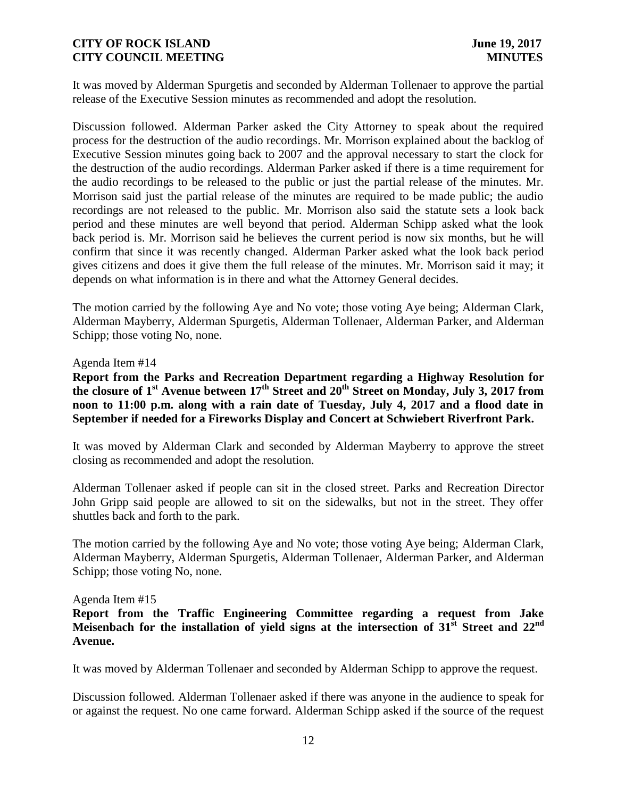It was moved by Alderman Spurgetis and seconded by Alderman Tollenaer to approve the partial release of the Executive Session minutes as recommended and adopt the resolution.

Discussion followed. Alderman Parker asked the City Attorney to speak about the required process for the destruction of the audio recordings. Mr. Morrison explained about the backlog of Executive Session minutes going back to 2007 and the approval necessary to start the clock for the destruction of the audio recordings. Alderman Parker asked if there is a time requirement for the audio recordings to be released to the public or just the partial release of the minutes. Mr. Morrison said just the partial release of the minutes are required to be made public; the audio recordings are not released to the public. Mr. Morrison also said the statute sets a look back period and these minutes are well beyond that period. Alderman Schipp asked what the look back period is. Mr. Morrison said he believes the current period is now six months, but he will confirm that since it was recently changed. Alderman Parker asked what the look back period gives citizens and does it give them the full release of the minutes. Mr. Morrison said it may; it depends on what information is in there and what the Attorney General decides.

The motion carried by the following Aye and No vote; those voting Aye being; Alderman Clark, Alderman Mayberry, Alderman Spurgetis, Alderman Tollenaer, Alderman Parker, and Alderman Schipp; those voting No, none.

#### Agenda Item #14

**Report from the Parks and Recreation Department regarding a Highway Resolution for the closure of 1st Avenue between 17th Street and 20th Street on Monday, July 3, 2017 from noon to 11:00 p.m. along with a rain date of Tuesday, July 4, 2017 and a flood date in September if needed for a Fireworks Display and Concert at Schwiebert Riverfront Park.**

It was moved by Alderman Clark and seconded by Alderman Mayberry to approve the street closing as recommended and adopt the resolution.

Alderman Tollenaer asked if people can sit in the closed street. Parks and Recreation Director John Gripp said people are allowed to sit on the sidewalks, but not in the street. They offer shuttles back and forth to the park.

The motion carried by the following Aye and No vote; those voting Aye being; Alderman Clark, Alderman Mayberry, Alderman Spurgetis, Alderman Tollenaer, Alderman Parker, and Alderman Schipp; those voting No, none.

#### Agenda Item #15

**Report from the Traffic Engineering Committee regarding a request from Jake Meisenbach for the installation of yield signs at the intersection of 31st Street and 22nd Avenue.**

It was moved by Alderman Tollenaer and seconded by Alderman Schipp to approve the request.

Discussion followed. Alderman Tollenaer asked if there was anyone in the audience to speak for or against the request. No one came forward. Alderman Schipp asked if the source of the request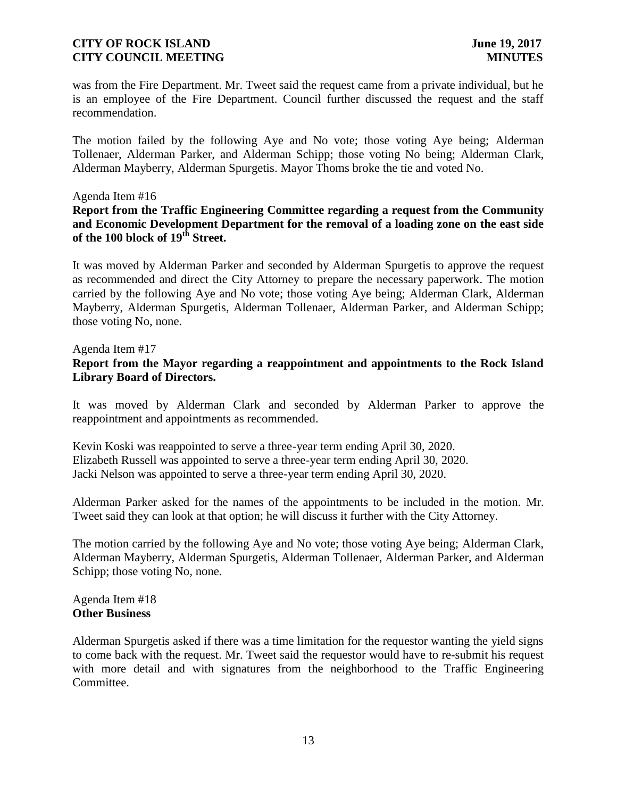was from the Fire Department. Mr. Tweet said the request came from a private individual, but he is an employee of the Fire Department. Council further discussed the request and the staff recommendation.

The motion failed by the following Aye and No vote; those voting Aye being; Alderman Tollenaer, Alderman Parker, and Alderman Schipp; those voting No being; Alderman Clark, Alderman Mayberry, Alderman Spurgetis. Mayor Thoms broke the tie and voted No.

#### Agenda Item #16

**Report from the Traffic Engineering Committee regarding a request from the Community and Economic Development Department for the removal of a loading zone on the east side of the 100 block of 19th Street.**

It was moved by Alderman Parker and seconded by Alderman Spurgetis to approve the request as recommended and direct the City Attorney to prepare the necessary paperwork. The motion carried by the following Aye and No vote; those voting Aye being; Alderman Clark, Alderman Mayberry, Alderman Spurgetis, Alderman Tollenaer, Alderman Parker, and Alderman Schipp; those voting No, none.

Agenda Item #17

## **Report from the Mayor regarding a reappointment and appointments to the Rock Island Library Board of Directors.**

It was moved by Alderman Clark and seconded by Alderman Parker to approve the reappointment and appointments as recommended.

Kevin Koski was reappointed to serve a three-year term ending April 30, 2020. Elizabeth Russell was appointed to serve a three-year term ending April 30, 2020. Jacki Nelson was appointed to serve a three-year term ending April 30, 2020.

Alderman Parker asked for the names of the appointments to be included in the motion. Mr. Tweet said they can look at that option; he will discuss it further with the City Attorney.

The motion carried by the following Aye and No vote; those voting Aye being; Alderman Clark, Alderman Mayberry, Alderman Spurgetis, Alderman Tollenaer, Alderman Parker, and Alderman Schipp; those voting No, none.

Agenda Item #18 **Other Business**

Alderman Spurgetis asked if there was a time limitation for the requestor wanting the yield signs to come back with the request. Mr. Tweet said the requestor would have to re-submit his request with more detail and with signatures from the neighborhood to the Traffic Engineering Committee.